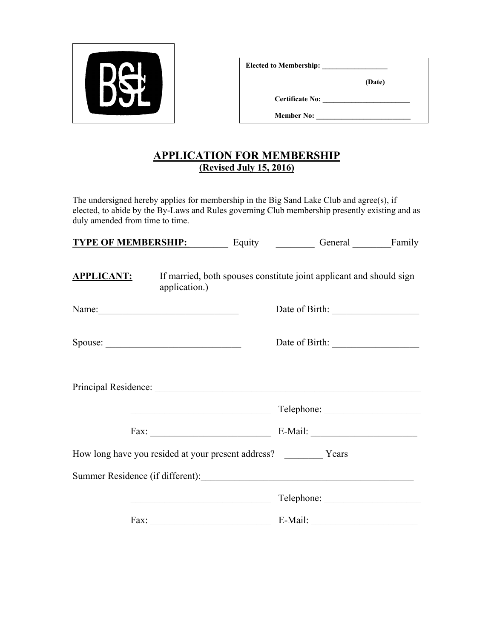

|                        | (Date) |
|------------------------|--------|
| <b>Certificate No:</b> |        |
| <b>Member No:</b>      |        |

## **APPLICATION FOR MEMBERSHIP (Revised July 15, 2016)**

Elected to Membership:

The undersigned hereby applies for membership in the Big Sand Lake Club and agree(s), if elected, to abide by the By-Laws and Rules governing Club membership presently existing and as duly amended from time to time.

|                   |                                                                                                                       | <b>TYPE OF MEMBERSHIP:</b> Equity <b>Coneral</b> General Family     |
|-------------------|-----------------------------------------------------------------------------------------------------------------------|---------------------------------------------------------------------|
| <b>APPLICANT:</b> | application.)                                                                                                         | If married, both spouses constitute joint applicant and should sign |
| Name:             |                                                                                                                       |                                                                     |
|                   |                                                                                                                       |                                                                     |
|                   |                                                                                                                       |                                                                     |
|                   | <u> 1989 - Johann Barbara, martin amerikan basal dan berasal dalam basal dalam basal dalam basal dalam basal dala</u> |                                                                     |
|                   |                                                                                                                       |                                                                     |
|                   | How long have you resided at your present address? ___________ Years                                                  |                                                                     |
|                   |                                                                                                                       |                                                                     |
|                   | <u> 1989 - Johann Barn, fransk politik (d. 1989)</u>                                                                  |                                                                     |
|                   |                                                                                                                       |                                                                     |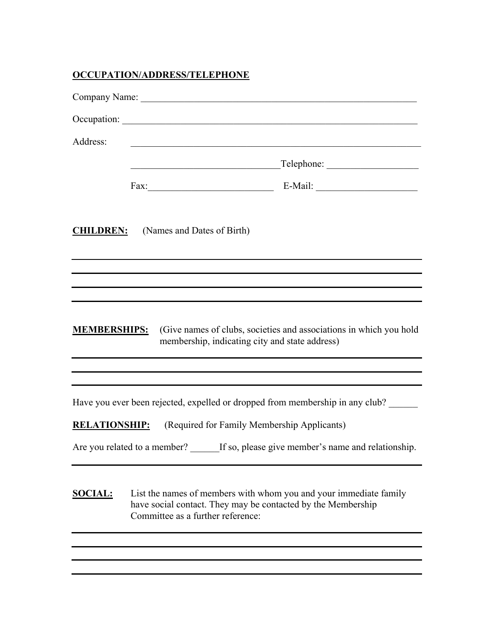## **OCCUPATION/ADDRESS/TELEPHONE**

| Address:             |                                                                                                                                                                                                                                                                                             | <u> 1989 - Jan James James, martin amerikan basar dan berasal dalam berasal dalam berasal dalam berasal dalam be</u> |
|----------------------|---------------------------------------------------------------------------------------------------------------------------------------------------------------------------------------------------------------------------------------------------------------------------------------------|----------------------------------------------------------------------------------------------------------------------|
|                      | <u> 1989 - Johann Stoff, amerikansk politiker (d. 1989)</u>                                                                                                                                                                                                                                 |                                                                                                                      |
|                      |                                                                                                                                                                                                                                                                                             |                                                                                                                      |
| <u>CHILDREN:</u>     | (Names and Dates of Birth)<br>,我们也不会有什么。""我们的人,我们也不会有什么?""我们的人,我们也不会有什么?""我们的人,我们也不会有什么?""我们的人,我们也不会有什么?""我们的人<br>,我们也不会有什么。""我们的人,我们也不会有什么?""我们的人,我们也不会有什么?""我们的人,我们也不会有什么?""我们的人,我们也不会有什么?""我们的人                                                                                          |                                                                                                                      |
| <b>MEMBERSHIPS:</b>  | membership, indicating city and state address)<br><u> 1989 - Johann Stoff, deutscher Stoff, der Stoff, der Stoff, der Stoff, der Stoff, der Stoff, der Stoff, der S</u><br>and the control of the control of the control of the control of the control of the control of the control of the | (Give names of clubs, societies and associations in which you hold                                                   |
| <b>RELATIONSHIP:</b> | Have you ever been rejected, expelled or dropped from membership in any club?<br>(Required for Family Membership Applicants)                                                                                                                                                                |                                                                                                                      |
|                      | Are you related to a member?                                                                                                                                                                                                                                                                | If so, please give member's name and relationship.                                                                   |
| <b>SOCIAL:</b>       | List the names of members with whom you and your immediate family<br>have social contact. They may be contacted by the Membership<br>Committee as a further reference:                                                                                                                      |                                                                                                                      |